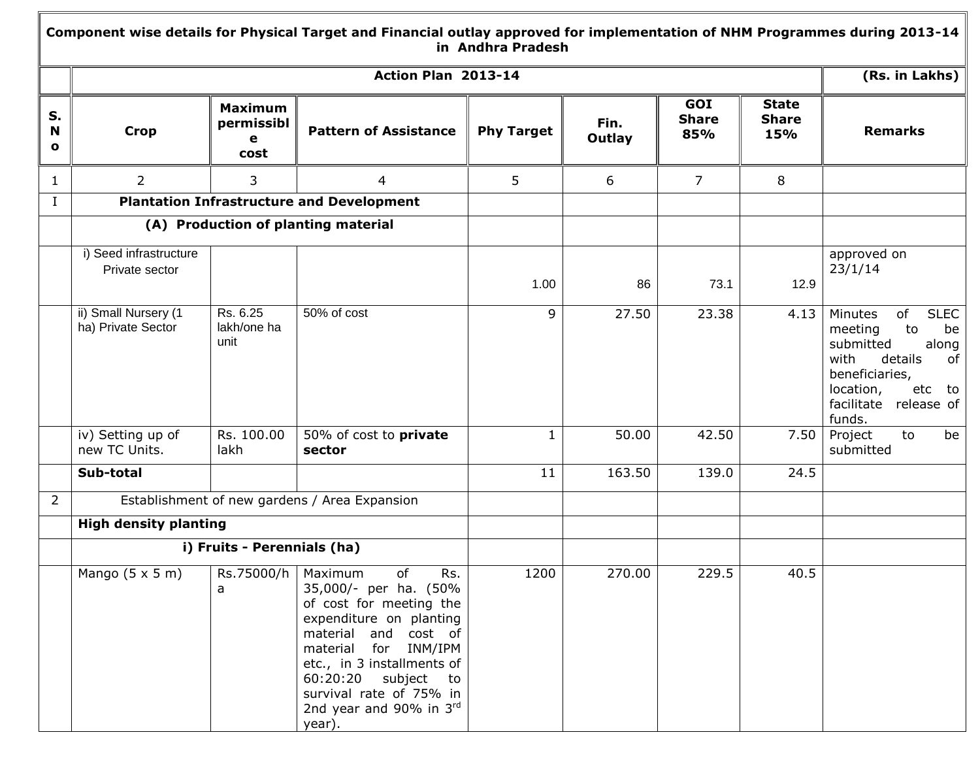## **Component wise details for Physical Target and Financial outlay approved for implementation of NHM Programmes during 2013-14 in Andhra Pradesh**

|                         |                                            |                                           | Action Plan 2013-14                                                                                                                                                                                                                                                                        |                   |                |                            |                                     | (Rs. in Lakhs)                                                                                                                                                                    |
|-------------------------|--------------------------------------------|-------------------------------------------|--------------------------------------------------------------------------------------------------------------------------------------------------------------------------------------------------------------------------------------------------------------------------------------------|-------------------|----------------|----------------------------|-------------------------------------|-----------------------------------------------------------------------------------------------------------------------------------------------------------------------------------|
| S.<br>N<br>$\mathbf{o}$ | <b>Crop</b>                                | <b>Maximum</b><br>permissibl<br>e<br>cost | <b>Pattern of Assistance</b>                                                                                                                                                                                                                                                               | <b>Phy Target</b> | Fin.<br>Outlay | GOI<br><b>Share</b><br>85% | <b>State</b><br><b>Share</b><br>15% | <b>Remarks</b>                                                                                                                                                                    |
| $\mathbf{1}$            | $\overline{2}$                             | 3                                         | 4                                                                                                                                                                                                                                                                                          | 5                 | 6              | $\overline{7}$             | 8                                   |                                                                                                                                                                                   |
| L                       |                                            |                                           | <b>Plantation Infrastructure and Development</b>                                                                                                                                                                                                                                           |                   |                |                            |                                     |                                                                                                                                                                                   |
|                         |                                            |                                           | (A) Production of planting material                                                                                                                                                                                                                                                        |                   |                |                            |                                     |                                                                                                                                                                                   |
|                         | i) Seed infrastructure<br>Private sector   |                                           |                                                                                                                                                                                                                                                                                            | 1.00              | 86             | 73.1                       | 12.9                                | approved on<br>23/1/14                                                                                                                                                            |
|                         | ii) Small Nursery (1<br>ha) Private Sector | Rs. 6.25<br>lakh/one ha<br>unit           | 50% of cost                                                                                                                                                                                                                                                                                | 9                 | 27.50          | 23.38                      | 4.13                                | of<br><b>SLEC</b><br>Minutes<br>to<br>be<br>meeting<br>submitted<br>along<br>details<br>of<br>with<br>beneficiaries,<br>location,<br>etc to<br>facilitate<br>release of<br>funds. |
|                         | iv) Setting up of<br>new TC Units.         | Rs. 100.00<br>lakh                        | 50% of cost to private<br>sector                                                                                                                                                                                                                                                           | 1                 | 50.00          | 42.50                      | 7.50                                | Project<br>to<br>be<br>submitted                                                                                                                                                  |
|                         | Sub-total                                  |                                           |                                                                                                                                                                                                                                                                                            | 11                | 163.50         | 139.0                      | 24.5                                |                                                                                                                                                                                   |
| $\overline{2}$          |                                            |                                           | Establishment of new gardens / Area Expansion                                                                                                                                                                                                                                              |                   |                |                            |                                     |                                                                                                                                                                                   |
|                         | <b>High density planting</b>               |                                           |                                                                                                                                                                                                                                                                                            |                   |                |                            |                                     |                                                                                                                                                                                   |
|                         |                                            | i) Fruits - Perennials (ha)               |                                                                                                                                                                                                                                                                                            |                   |                |                            |                                     |                                                                                                                                                                                   |
|                         | Mango $(5 \times 5 \text{ m})$             | Rs.75000/h<br>a                           | of<br>Rs.<br>Maximum<br>35,000/- per ha. (50%<br>of cost for meeting the<br>expenditure on planting<br>material and cost of<br>material<br>for INM/IPM<br>etc., in 3 installments of<br>60:20:20 subject<br>to<br>survival rate of 75% in<br>2nd year and 90% in $3^{\text{rd}}$<br>year). | 1200              | 270.00         | 229.5                      | 40.5                                |                                                                                                                                                                                   |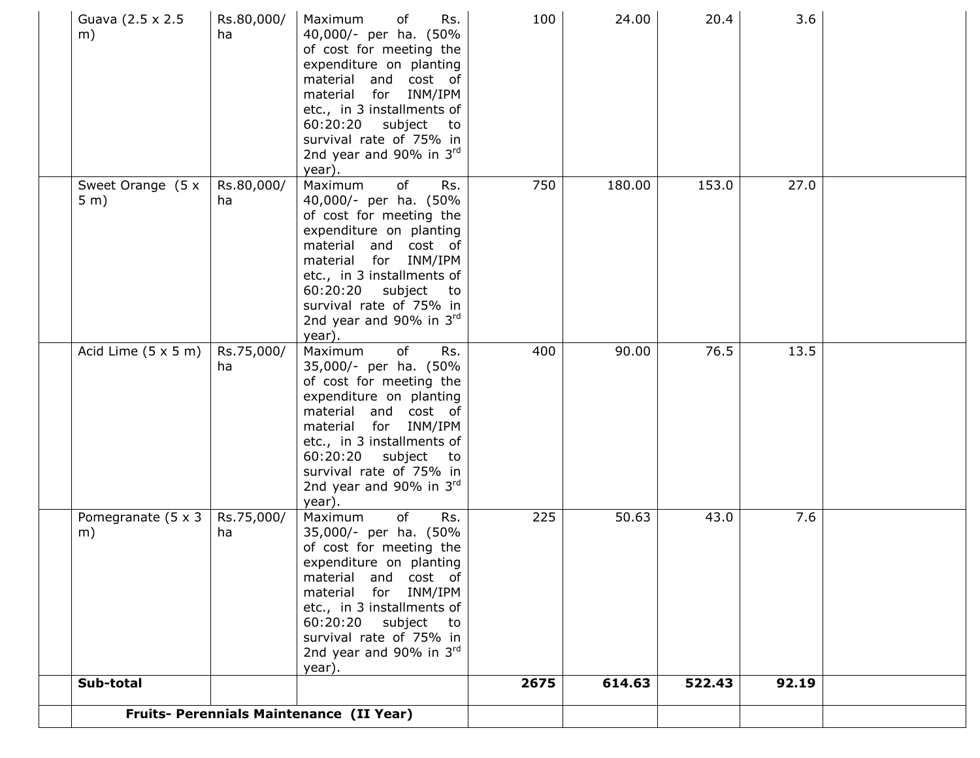| Guava (2.5 x 2.5)<br>m)            | Rs.80,000/<br>ha | Rs.<br>Maximum<br>of<br>40,000/- per ha. (50%<br>of cost for meeting the<br>expenditure on planting<br>material and cost of<br>for INM/IPM<br>material<br>etc., in 3 installments of<br>60:20:20<br>subject<br>to<br>survival rate of 75% in<br>2nd year and 90% in 3rd<br>year).   | 100  | 24.00  | 20.4   | 3.6   |  |
|------------------------------------|------------------|-------------------------------------------------------------------------------------------------------------------------------------------------------------------------------------------------------------------------------------------------------------------------------------|------|--------|--------|-------|--|
| Sweet Orange (5 x<br>5 m)          | Rs.80,000/<br>ha | Maximum<br>of<br>Rs.<br>40,000/- per ha. (50%<br>of cost for meeting the<br>expenditure on planting<br>material and cost of<br>for INM/IPM<br>material<br>etc., in 3 installments of<br>subject<br>60:20:20<br>to<br>survival rate of 75% in<br>2nd year and 90% in 3rd<br>year).   | 750  | 180.00 | 153.0  | 27.0  |  |
| Acid Lime $(5 \times 5 \text{ m})$ | Rs.75,000/<br>ha | of<br>Rs.<br>Maximum<br>35,000/- per ha. (50%<br>of cost for meeting the<br>expenditure on planting<br>material and cost of<br>material for INM/IPM<br>etc., in 3 installments of<br>60:20:20<br>subject<br>to<br>survival rate of 75% in<br>2nd year and 90% in $3^{rd}$<br>year). | 400  | 90.00  | 76.5   | 13.5  |  |
| Pomegranate (5 x 3<br>m)           | Rs.75,000/<br>ha | of<br>Rs.<br>Maximum<br>35,000/- per ha. (50%<br>of cost for meeting the<br>expenditure on planting<br>material and cost of<br>material for INM/IPM<br>etc., in 3 installments of<br>60:20:20 subject<br>to<br>survival rate of 75% in<br>2nd year and 90% in 3rd<br>year).         | 225  | 50.63  | 43.0   | 7.6   |  |
| Sub-total                          |                  |                                                                                                                                                                                                                                                                                     | 2675 | 614.63 | 522.43 | 92.19 |  |
|                                    |                  | Fruits- Perennials Maintenance (II Year)                                                                                                                                                                                                                                            |      |        |        |       |  |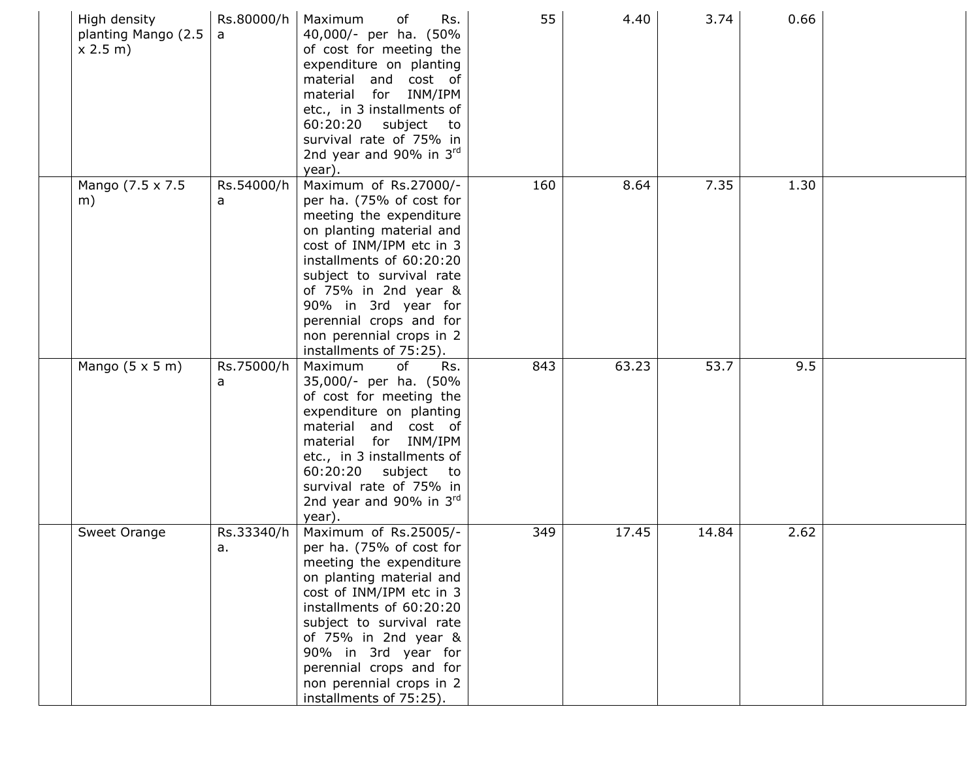| High density<br>planting Mango (2.5<br>x 2.5 m | Rs.80000/h<br>a  | Maximum<br>of<br>Rs.<br>40,000/- per ha. (50%<br>of cost for meeting the<br>expenditure on planting<br>material and cost of<br>for INM/IPM<br>material<br>etc., in 3 installments of<br>subject<br>60:20:20<br>to<br>survival rate of 75% in<br>2nd year and 90% in $3^{rd}$<br>year).                                        | 55  | 4.40  | 3.74  | 0.66 |  |
|------------------------------------------------|------------------|-------------------------------------------------------------------------------------------------------------------------------------------------------------------------------------------------------------------------------------------------------------------------------------------------------------------------------|-----|-------|-------|------|--|
| Mango (7.5 x 7.5<br>m)                         | Rs.54000/h<br>a  | Maximum of Rs.27000/-<br>per ha. (75% of cost for<br>meeting the expenditure<br>on planting material and<br>cost of INM/IPM etc in 3<br>installments of 60:20:20<br>subject to survival rate<br>of 75% in 2nd year &<br>90% in 3rd year for<br>perennial crops and for<br>non perennial crops in 2<br>installments of 75:25). | 160 | 8.64  | 7.35  | 1.30 |  |
| Mango $(5 \times 5 \text{ m})$                 | Rs.75000/h<br>a  | of<br>Maximum<br>Rs.<br>35,000/- per ha. (50%<br>of cost for meeting the<br>expenditure on planting<br>material and cost of<br>material for INM/IPM<br>etc., in 3 installments of<br>60:20:20 subject to<br>survival rate of 75% in<br>2nd year and 90% in $3^{\text{rd}}$<br>year)                                           | 843 | 63.23 | 53.7  | 9.5  |  |
| Sweet Orange                                   | Rs.33340/h<br>а. | Maximum of Rs.25005/-<br>per ha. (75% of cost for<br>meeting the expenditure<br>on planting material and<br>cost of INM/IPM etc in 3<br>installments of 60:20:20<br>subject to survival rate<br>of 75% in 2nd year &<br>90% in 3rd year for<br>perennial crops and for<br>non perennial crops in 2<br>installments of 75:25). | 349 | 17.45 | 14.84 | 2.62 |  |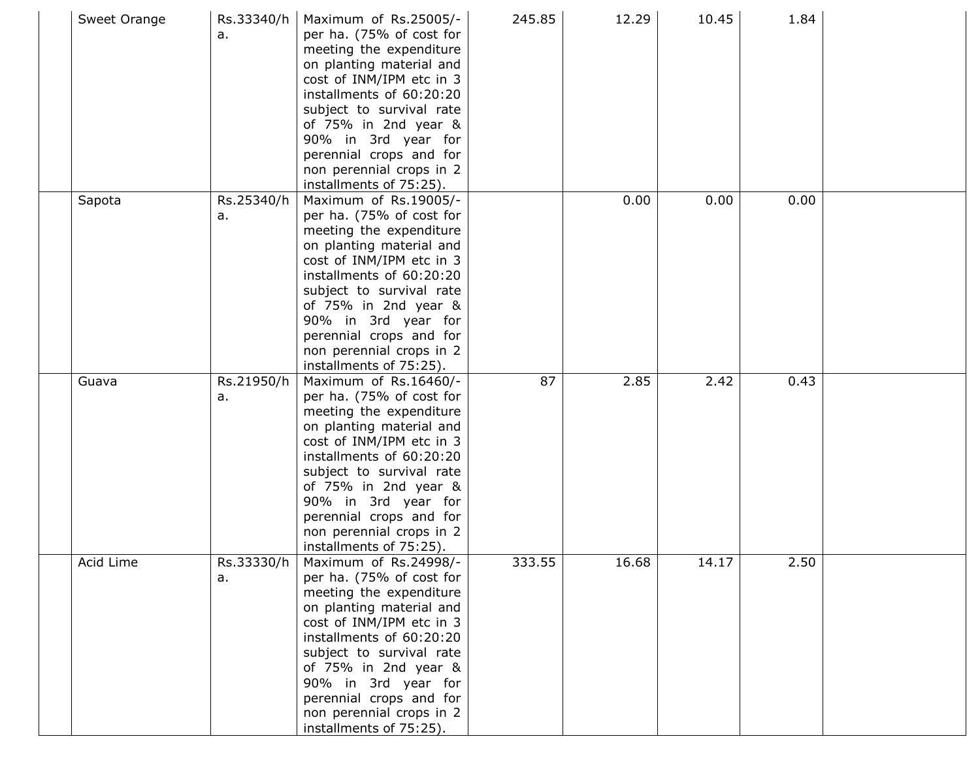| Sweet Orange | Rs.33340/h<br>a. | Maximum of Rs.25005/-<br>per ha. (75% of cost for<br>meeting the expenditure<br>on planting material and<br>cost of INM/IPM etc in 3<br>installments of 60:20:20<br>subject to survival rate<br>of 75% in 2nd year &<br>90% in 3rd year for<br>perennial crops and for<br>non perennial crops in 2<br>installments of 75:25).       | 245.85 | 12.29 | 10.45 | 1.84 |  |
|--------------|------------------|-------------------------------------------------------------------------------------------------------------------------------------------------------------------------------------------------------------------------------------------------------------------------------------------------------------------------------------|--------|-------|-------|------|--|
| Sapota       | Rs.25340/h<br>а. | Maximum of Rs.19005/-<br>per ha. (75% of cost for<br>meeting the expenditure<br>on planting material and<br>cost of INM/IPM etc in 3<br>installments of 60:20:20<br>subject to survival rate<br>of 75% in 2nd year &<br>90% in 3rd year for<br>perennial crops and for<br>non perennial crops in 2<br>installments of 75:25).       |        | 0.00  | 0.00  | 0.00 |  |
| Guava        | Rs.21950/h<br>а. | Maximum of Rs.16460/-<br>per ha. (75% of cost for<br>meeting the expenditure<br>on planting material and<br>cost of INM/IPM etc in 3<br>installments of 60:20:20<br>subject to survival rate<br>of $75\%$ in 2nd year $\&$<br>90% in 3rd year for<br>perennial crops and for<br>non perennial crops in 2<br>installments of 75:25). | 87     | 2.85  | 2.42  | 0.43 |  |
| Acid Lime    | Rs.33330/h<br>a. | Maximum of Rs.24998/-<br>per ha. (75% of cost for<br>meeting the expenditure<br>on planting material and<br>cost of INM/IPM etc in 3<br>installments of 60:20:20<br>subject to survival rate<br>of 75% in 2nd year &<br>90% in 3rd year for<br>perennial crops and for<br>non perennial crops in 2<br>installments of 75:25).       | 333.55 | 16.68 | 14.17 | 2.50 |  |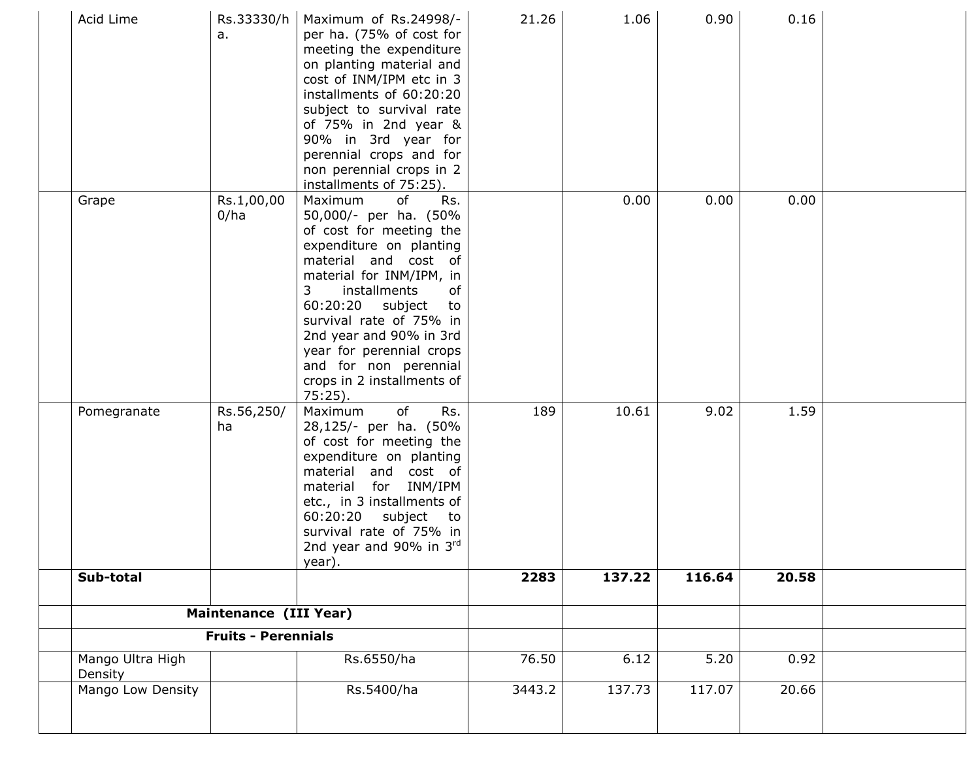| Acid Lime                   | Rs.33330/h<br>a.           | Maximum of Rs.24998/-<br>per ha. (75% of cost for<br>meeting the expenditure<br>on planting material and<br>cost of INM/IPM etc in 3<br>installments of 60:20:20<br>subject to survival rate<br>of 75% in 2nd year &<br>90% in 3rd year for<br>perennial crops and for<br>non perennial crops in 2<br>installments of 75:25).                                          | 21.26  | 1.06   | 0.90   | 0.16  |  |
|-----------------------------|----------------------------|------------------------------------------------------------------------------------------------------------------------------------------------------------------------------------------------------------------------------------------------------------------------------------------------------------------------------------------------------------------------|--------|--------|--------|-------|--|
| Grape                       | Rs.1,00,00<br>0/ha         | of<br>Rs.<br>Maximum<br>50,000/- per ha. (50%<br>of cost for meeting the<br>expenditure on planting<br>material and cost of<br>material for INM/IPM, in<br>3<br>installments<br>of<br>60:20:20<br>subject<br>to<br>survival rate of 75% in<br>2nd year and 90% in 3rd<br>year for perennial crops<br>and for non perennial<br>crops in 2 installments of<br>$75:25$ ). |        | 0.00   | 0.00   | 0.00  |  |
| Pomegranate                 | Rs.56,250/<br>ha           | of<br>Rs.<br>Maximum<br>28,125/- per ha. (50%<br>of cost for meeting the<br>expenditure on planting<br>material and cost of<br>for INM/IPM<br>material<br>etc., in 3 installments of<br>60:20:20<br>subject<br>to<br>survival rate of 75% in<br>2nd year and 90% in 3rd<br>year).                                                                                      | 189    | 10.61  | 9.02   | 1.59  |  |
| Sub-total                   |                            |                                                                                                                                                                                                                                                                                                                                                                        | 2283   | 137.22 | 116.64 | 20.58 |  |
|                             | Maintenance (III Year)     |                                                                                                                                                                                                                                                                                                                                                                        |        |        |        |       |  |
|                             | <b>Fruits - Perennials</b> |                                                                                                                                                                                                                                                                                                                                                                        |        |        |        |       |  |
| Mango Ultra High<br>Density |                            | Rs.6550/ha                                                                                                                                                                                                                                                                                                                                                             | 76.50  | 6.12   | 5.20   | 0.92  |  |
| Mango Low Density           |                            | Rs.5400/ha                                                                                                                                                                                                                                                                                                                                                             | 3443.2 | 137.73 | 117.07 | 20.66 |  |
|                             |                            |                                                                                                                                                                                                                                                                                                                                                                        |        |        |        |       |  |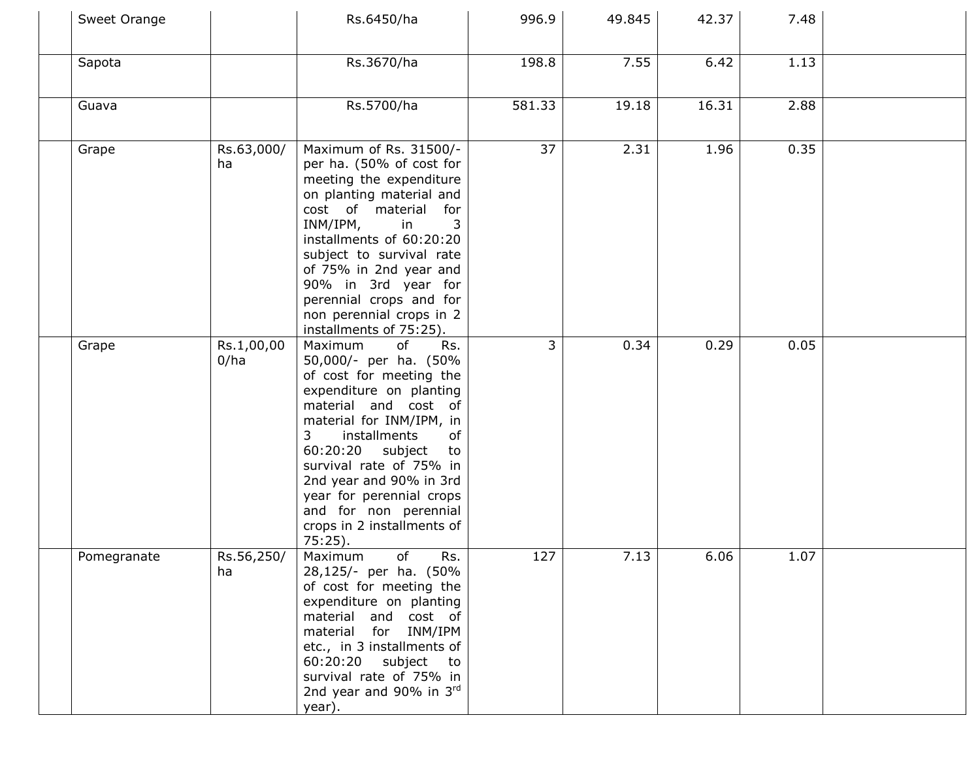| Sweet Orange |                    | Rs.6450/ha                                                                                                                                                                                                                                                                                                                                                             | 996.9  | 49.845 | 42.37 | 7.48 |  |
|--------------|--------------------|------------------------------------------------------------------------------------------------------------------------------------------------------------------------------------------------------------------------------------------------------------------------------------------------------------------------------------------------------------------------|--------|--------|-------|------|--|
| Sapota       |                    | Rs.3670/ha                                                                                                                                                                                                                                                                                                                                                             | 198.8  | 7.55   | 6.42  | 1.13 |  |
| Guava        |                    | Rs.5700/ha                                                                                                                                                                                                                                                                                                                                                             | 581.33 | 19.18  | 16.31 | 2.88 |  |
| Grape        | Rs.63,000/<br>ha   | Maximum of Rs. 31500/-<br>per ha. (50% of cost for<br>meeting the expenditure<br>on planting material and<br>cost of material<br>for<br>INM/IPM,<br>in<br>3<br>installments of 60:20:20<br>subject to survival rate<br>of 75% in 2nd year and<br>90% in 3rd year for<br>perennial crops and for<br>non perennial crops in 2<br>installments of 75:25).                 | 37     | 2.31   | 1.96  | 0.35 |  |
| Grape        | Rs.1,00,00<br>0/ha | Maximum<br>of<br>Rs.<br>50,000/- per ha. (50%<br>of cost for meeting the<br>expenditure on planting<br>material and cost of<br>material for INM/IPM, in<br>of<br>installments<br>3<br>60:20:20<br>subject<br>to<br>survival rate of 75% in<br>2nd year and 90% in 3rd<br>year for perennial crops<br>and for non perennial<br>crops in 2 installments of<br>$75:25$ ). | 3      | 0.34   | 0.29  | 0.05 |  |
| Pomegranate  | Rs.56,250/<br>ha   | of<br>Rs.<br>Maximum<br>28,125/- per ha. (50%<br>of cost for meeting the<br>expenditure on planting<br>material and cost of<br>for INM/IPM<br>material<br>etc., in 3 installments of<br>60:20:20 subject to<br>survival rate of 75% in<br>2nd year and 90% in 3rd<br>year).                                                                                            | 127    | 7.13   | 6.06  | 1.07 |  |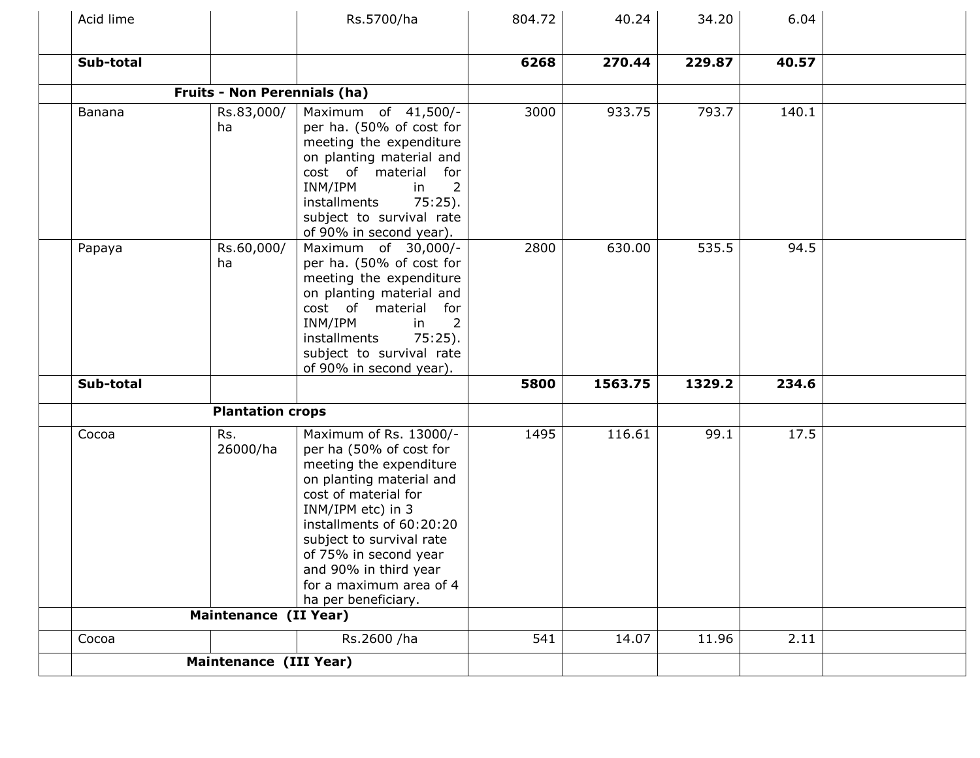| Acid lime |                                     | Rs.5700/ha                                                                                                                                                                                                                                                                                                        | 804.72 | 40.24   | 34.20  | 6.04  |  |
|-----------|-------------------------------------|-------------------------------------------------------------------------------------------------------------------------------------------------------------------------------------------------------------------------------------------------------------------------------------------------------------------|--------|---------|--------|-------|--|
| Sub-total |                                     |                                                                                                                                                                                                                                                                                                                   | 6268   | 270.44  | 229.87 | 40.57 |  |
|           | <b>Fruits - Non Perennials (ha)</b> |                                                                                                                                                                                                                                                                                                                   |        |         |        |       |  |
| Banana    | Rs.83,000/<br>ha                    | Maximum of 41,500/-<br>per ha. (50% of cost for<br>meeting the expenditure<br>on planting material and<br>cost of material<br>for<br>$\overline{2}$<br>INM/IPM<br>in<br>$75:25$ ).<br>installments<br>subject to survival rate<br>of 90% in second year).                                                         | 3000   | 933.75  | 793.7  | 140.1 |  |
| Papaya    | Rs.60,000/<br>ha                    | Maximum of 30,000/-<br>per ha. (50% of cost for<br>meeting the expenditure<br>on planting material and<br>cost of material<br>for<br>INM/IPM<br>2<br>in<br>installments<br>$75:25$ ).<br>subject to survival rate<br>of 90% in second year).                                                                      | 2800   | 630.00  | 535.5  | 94.5  |  |
| Sub-total |                                     |                                                                                                                                                                                                                                                                                                                   | 5800   | 1563.75 | 1329.2 | 234.6 |  |
|           | <b>Plantation crops</b>             |                                                                                                                                                                                                                                                                                                                   |        |         |        |       |  |
| Cocoa     | Rs.<br>26000/ha                     | Maximum of Rs. 13000/-<br>per ha (50% of cost for<br>meeting the expenditure<br>on planting material and<br>cost of material for<br>INM/IPM etc) in 3<br>installments of 60:20:20<br>subject to survival rate<br>of 75% in second year<br>and 90% in third year<br>for a maximum area of 4<br>ha per beneficiary. | 1495   | 116.61  | 99.1   | 17.5  |  |
|           | <b>Maintenance (II Year)</b>        |                                                                                                                                                                                                                                                                                                                   |        |         |        |       |  |
| Cocoa     |                                     | Rs.2600 /ha                                                                                                                                                                                                                                                                                                       | 541    | 14.07   | 11.96  | 2.11  |  |
|           | Maintenance (III Year)              |                                                                                                                                                                                                                                                                                                                   |        |         |        |       |  |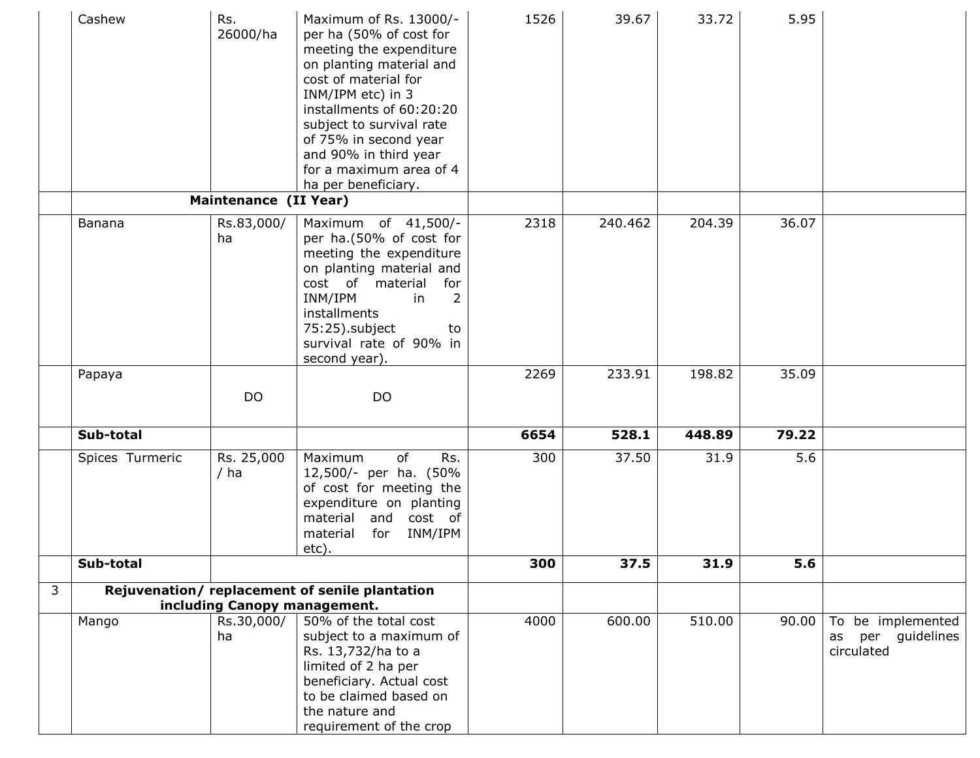|   | Cashew          | Rs.<br>26000/ha              | Maximum of Rs. 13000/-<br>per ha (50% of cost for<br>meeting the expenditure<br>on planting material and<br>cost of material for<br>INM/IPM etc) in 3<br>installments of 60:20:20<br>subject to survival rate<br>of 75% in second year<br>and 90% in third year<br>for a maximum area of 4<br>ha per beneficiary. | 1526 | 39.67   | 33.72  | 5.95  |                                                            |
|---|-----------------|------------------------------|-------------------------------------------------------------------------------------------------------------------------------------------------------------------------------------------------------------------------------------------------------------------------------------------------------------------|------|---------|--------|-------|------------------------------------------------------------|
|   |                 | Maintenance (II Year)        |                                                                                                                                                                                                                                                                                                                   |      |         |        |       |                                                            |
|   | Banana          | Rs.83,000/<br>ha             | Maximum of 41,500/-<br>per ha.(50% of cost for<br>meeting the expenditure<br>on planting material and<br>cost of material<br>for<br>INM/IPM<br>in<br>installments<br>75:25).subject<br>to<br>survival rate of 90% in<br>second year).                                                                             | 2318 | 240.462 | 204.39 | 36.07 |                                                            |
|   | Papaya          |                              |                                                                                                                                                                                                                                                                                                                   | 2269 | 233.91  | 198.82 | 35.09 |                                                            |
|   |                 | <b>DO</b>                    | <b>DO</b>                                                                                                                                                                                                                                                                                                         |      |         |        |       |                                                            |
|   | Sub-total       |                              |                                                                                                                                                                                                                                                                                                                   | 6654 | 528.1   | 448.89 | 79.22 |                                                            |
|   | Spices Turmeric | Rs. 25,000<br>$/$ ha         | of<br>Rs.<br>Maximum<br>12,500/- per ha. (50%<br>of cost for meeting the<br>expenditure on planting<br>and cost of<br>material<br>INM/IPM<br>material<br>for<br>etc).                                                                                                                                             | 300  | 37.50   | 31.9   | 5.6   |                                                            |
|   | Sub-total       |                              |                                                                                                                                                                                                                                                                                                                   | 300  | 37.5    | 31.9   | 5.6   |                                                            |
| 3 |                 |                              | Rejuvenation/replacement of senile plantation                                                                                                                                                                                                                                                                     |      |         |        |       |                                                            |
|   |                 | including Canopy management. |                                                                                                                                                                                                                                                                                                                   |      |         |        |       |                                                            |
|   | Mango           | Rs.30,000/<br>ha             | 50% of the total cost<br>subject to a maximum of<br>Rs. 13,732/ha to a<br>limited of 2 ha per<br>beneficiary. Actual cost<br>to be claimed based on<br>the nature and<br>requirement of the crop                                                                                                                  | 4000 | 600.00  | 510.00 | 90.00 | To be implemented<br>guidelines<br>per<br>as<br>circulated |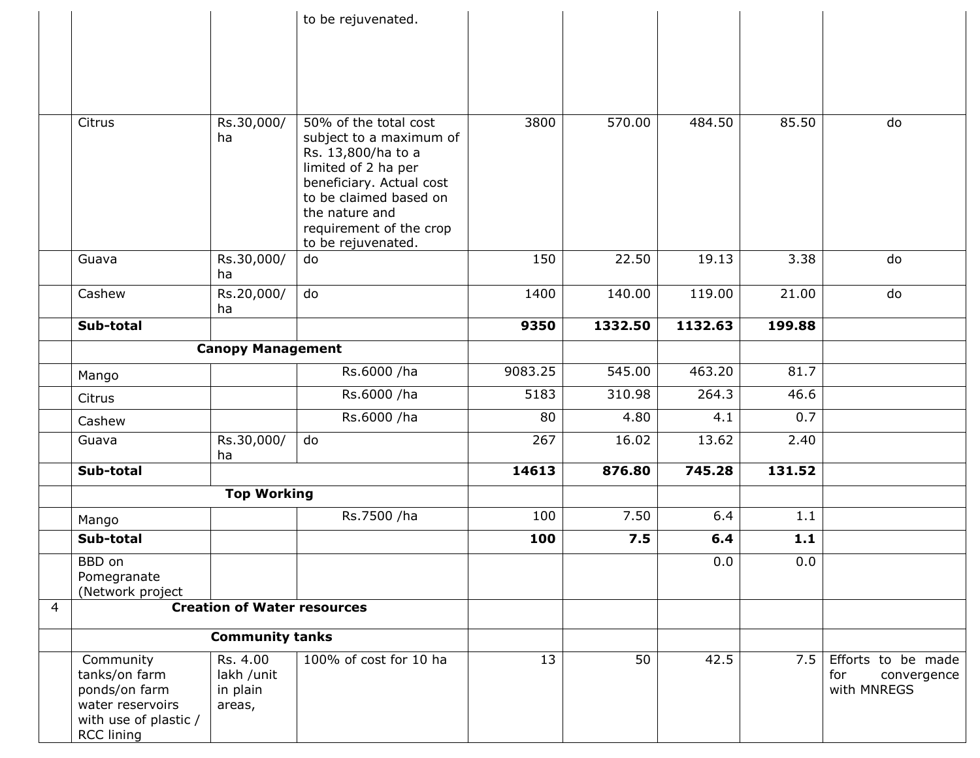|                |                                   |                                    | to be rejuvenated.                            |         |         |         |        |                    |
|----------------|-----------------------------------|------------------------------------|-----------------------------------------------|---------|---------|---------|--------|--------------------|
|                |                                   |                                    |                                               |         |         |         |        |                    |
|                |                                   |                                    |                                               |         |         |         |        |                    |
|                |                                   |                                    |                                               |         |         |         |        |                    |
|                |                                   |                                    |                                               |         |         |         |        |                    |
|                |                                   |                                    |                                               |         |         |         |        |                    |
|                | Citrus                            | Rs.30,000/                         | 50% of the total cost                         | 3800    | 570.00  | 484.50  | 85.50  | do                 |
|                |                                   | ha                                 | subject to a maximum of<br>Rs. 13,800/ha to a |         |         |         |        |                    |
|                |                                   |                                    | limited of 2 ha per                           |         |         |         |        |                    |
|                |                                   |                                    | beneficiary. Actual cost                      |         |         |         |        |                    |
|                |                                   |                                    | to be claimed based on                        |         |         |         |        |                    |
|                |                                   |                                    | the nature and                                |         |         |         |        |                    |
|                |                                   |                                    | requirement of the crop<br>to be rejuvenated. |         |         |         |        |                    |
|                | Guava                             | Rs.30,000/                         | do                                            | 150     | 22.50   | 19.13   | 3.38   | do                 |
|                |                                   | ha                                 |                                               |         |         |         |        |                    |
|                | Cashew                            | Rs.20,000/                         | do                                            | 1400    | 140.00  | 119.00  | 21.00  | do                 |
|                |                                   | ha                                 |                                               |         |         |         |        |                    |
|                | Sub-total                         |                                    |                                               | 9350    | 1332.50 | 1132.63 | 199.88 |                    |
|                |                                   | <b>Canopy Management</b>           |                                               |         |         |         |        |                    |
|                | Mango                             |                                    | Rs.6000 /ha                                   | 9083.25 | 545.00  | 463.20  | 81.7   |                    |
|                | Citrus                            |                                    | Rs.6000 /ha                                   | 5183    | 310.98  | 264.3   | 46.6   |                    |
|                | Cashew                            |                                    | Rs.6000 /ha                                   | 80      | 4.80    | 4.1     | 0.7    |                    |
|                | Guava                             | Rs.30,000/                         | do                                            | 267     | 16.02   | 13.62   | 2.40   |                    |
|                | Sub-total                         | ha                                 |                                               | 14613   | 876.80  | 745.28  | 131.52 |                    |
|                |                                   | <b>Top Working</b>                 |                                               |         |         |         |        |                    |
|                | Mango                             |                                    | Rs.7500 /ha                                   | 100     | 7.50    | 6.4     | 1.1    |                    |
|                | Sub-total                         |                                    |                                               | 100     | 7.5     | 6.4     | 1.1    |                    |
|                | BBD on                            |                                    |                                               |         |         | 0.0     | 0.0    |                    |
|                | Pomegranate                       |                                    |                                               |         |         |         |        |                    |
| $\overline{4}$ | (Network project                  | <b>Creation of Water resources</b> |                                               |         |         |         |        |                    |
|                |                                   |                                    |                                               |         |         |         |        |                    |
|                |                                   | <b>Community tanks</b>             |                                               |         |         |         |        |                    |
|                | Community                         | Rs. 4.00                           | 100% of cost for 10 ha                        | 13      | 50      | 42.5    | 7.5    | Efforts to be made |
|                | tanks/on farm                     | lakh /unit                         |                                               |         |         |         |        | for<br>convergence |
|                | ponds/on farm<br>water reservoirs | in plain                           |                                               |         |         |         |        | with MNREGS        |
|                | with use of plastic /             | areas,                             |                                               |         |         |         |        |                    |
|                | <b>RCC lining</b>                 |                                    |                                               |         |         |         |        |                    |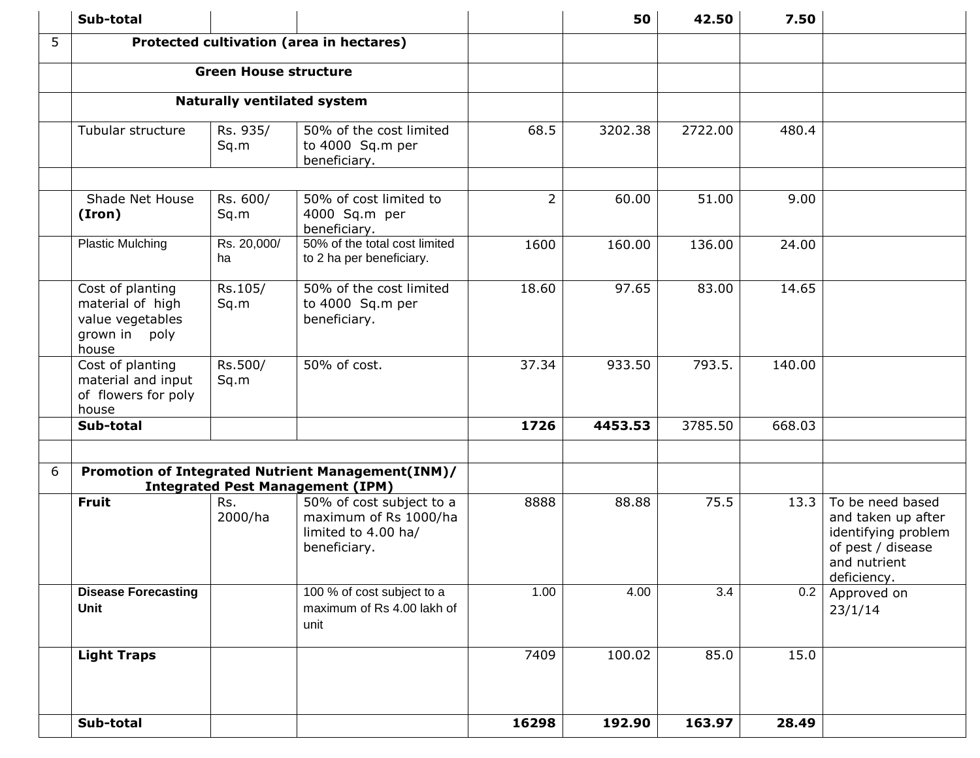|   | Sub-total                                                                          |                                    |                                                                                              |                | 50      | 42.50   | 7.50   |                                                                                                                   |
|---|------------------------------------------------------------------------------------|------------------------------------|----------------------------------------------------------------------------------------------|----------------|---------|---------|--------|-------------------------------------------------------------------------------------------------------------------|
| 5 |                                                                                    |                                    | Protected cultivation (area in hectares)                                                     |                |         |         |        |                                                                                                                   |
|   |                                                                                    | <b>Green House structure</b>       |                                                                                              |                |         |         |        |                                                                                                                   |
|   |                                                                                    | <b>Naturally ventilated system</b> |                                                                                              |                |         |         |        |                                                                                                                   |
|   | Tubular structure                                                                  | Rs. 935/<br>Sq.m                   | 50% of the cost limited<br>to 4000 Sq.m per<br>beneficiary.                                  | 68.5           | 3202.38 | 2722.00 | 480.4  |                                                                                                                   |
|   | Shade Net House<br>(Iron)                                                          | Rs. 600/<br>Sq.m                   | 50% of cost limited to<br>4000 Sq.m per<br>beneficiary.                                      | $\overline{2}$ | 60.00   | 51.00   | 9.00   |                                                                                                                   |
|   | <b>Plastic Mulching</b>                                                            | Rs. 20,000/<br>ha                  | 50% of the total cost limited<br>to 2 ha per beneficiary.                                    | 1600           | 160.00  | 136.00  | 24.00  |                                                                                                                   |
|   | Cost of planting<br>material of high<br>value vegetables<br>grown in poly<br>house | Rs.105/<br>Sq.m                    | 50% of the cost limited<br>to 4000 Sq.m per<br>beneficiary.                                  | 18.60          | 97.65   | 83.00   | 14.65  |                                                                                                                   |
|   | Cost of planting<br>material and input<br>of flowers for poly<br>house             | Rs.500/<br>Sq.m                    | 50% of cost.                                                                                 | 37.34          | 933.50  | 793.5.  | 140.00 |                                                                                                                   |
|   | Sub-total                                                                          |                                    |                                                                                              | 1726           | 4453.53 | 3785.50 | 668.03 |                                                                                                                   |
| 6 |                                                                                    |                                    | Promotion of Integrated Nutrient Management(INM)/<br><b>Integrated Pest Management (IPM)</b> |                |         |         |        |                                                                                                                   |
|   | <b>Fruit</b>                                                                       | Rs.<br>2000/ha                     | 50% of cost subject to a<br>maximum of Rs 1000/ha<br>limited to 4.00 ha/<br>beneficiary.     | 8888           | 88.88   | 75.5    | 13.3   | To be need based<br>and taken up after<br>identifying problem<br>of pest / disease<br>and nutrient<br>deficiency. |
|   | <b>Disease Forecasting</b><br>Unit                                                 |                                    | 100 % of cost subject to a<br>maximum of Rs 4.00 lakh of<br>unit                             | 1.00           | 4.00    | 3.4     | 0.2    | Approved on<br>23/1/14                                                                                            |
|   | <b>Light Traps</b>                                                                 |                                    |                                                                                              | 7409           | 100.02  | 85.0    | 15.0   |                                                                                                                   |
|   | Sub-total                                                                          |                                    |                                                                                              | 16298          | 192.90  | 163.97  | 28.49  |                                                                                                                   |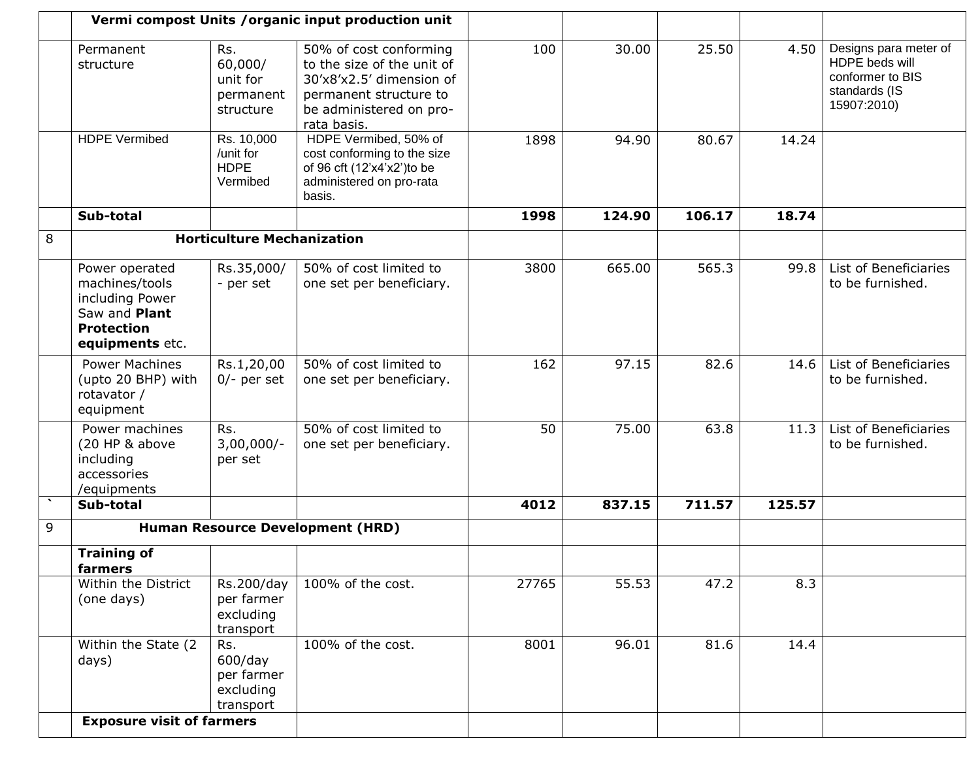|   |                                                                                                              |                                                           | Vermi compost Units / organic input production unit                                                                                                  |       |        |        |        |                                                                                             |
|---|--------------------------------------------------------------------------------------------------------------|-----------------------------------------------------------|------------------------------------------------------------------------------------------------------------------------------------------------------|-------|--------|--------|--------|---------------------------------------------------------------------------------------------|
|   | Permanent<br>structure                                                                                       | Rs.<br>60,000/<br>unit for<br>permanent<br>structure      | 50% of cost conforming<br>to the size of the unit of<br>30'x8'x2.5' dimension of<br>permanent structure to<br>be administered on pro-<br>rata basis. | 100   | 30.00  | 25.50  | 4.50   | Designs para meter of<br>HDPE beds will<br>conformer to BIS<br>standards (IS<br>15907:2010) |
|   | <b>HDPE Vermibed</b>                                                                                         | Rs. 10,000<br>/unit for<br><b>HDPE</b><br>Vermibed        | HDPE Vermibed, 50% of<br>cost conforming to the size<br>of 96 cft (12'x4'x2') to be<br>administered on pro-rata<br>basis.                            | 1898  | 94.90  | 80.67  | 14.24  |                                                                                             |
|   | Sub-total                                                                                                    |                                                           |                                                                                                                                                      | 1998  | 124.90 | 106.17 | 18.74  |                                                                                             |
| 8 |                                                                                                              | <b>Horticulture Mechanization</b>                         |                                                                                                                                                      |       |        |        |        |                                                                                             |
|   | Power operated<br>machines/tools<br>including Power<br>Saw and Plant<br><b>Protection</b><br>equipments etc. | Rs.35,000/<br>- per set                                   | 50% of cost limited to<br>one set per beneficiary.                                                                                                   | 3800  | 665.00 | 565.3  | 99.8   | List of Beneficiaries<br>to be furnished.                                                   |
|   | <b>Power Machines</b><br>(upto 20 BHP) with<br>rotavator /<br>equipment                                      | Rs.1,20,00<br>$0/-$ per set                               | 50% of cost limited to<br>one set per beneficiary.                                                                                                   | 162   | 97.15  | 82.6   | 14.6   | List of Beneficiaries<br>to be furnished.                                                   |
|   | Power machines<br>(20 HP & above<br>including<br>accessories<br>/equipments                                  | Rs.<br>$3,00,000/-$<br>per set                            | 50% of cost limited to<br>one set per beneficiary.                                                                                                   | 50    | 75.00  | 63.8   | 11.3   | List of Beneficiaries<br>to be furnished.                                                   |
|   | Sub-total                                                                                                    |                                                           |                                                                                                                                                      | 4012  | 837.15 | 711.57 | 125.57 |                                                                                             |
| 9 |                                                                                                              |                                                           | Human Resource Development (HRD)                                                                                                                     |       |        |        |        |                                                                                             |
|   | <b>Training of</b><br><u>rarmers</u>                                                                         |                                                           |                                                                                                                                                      |       |        |        |        |                                                                                             |
|   | Within the District<br>(one days)                                                                            | Rs.200/day<br>per farmer<br>excluding<br>transport        | 100% of the cost.                                                                                                                                    | 27765 | 55.53  | 47.2   | 8.3    |                                                                                             |
|   | Within the State (2<br>days)                                                                                 | Rs.<br>$600$ /day<br>per farmer<br>excluding<br>transport | 100% of the cost.                                                                                                                                    | 8001  | 96.01  | 81.6   | 14.4   |                                                                                             |
|   | <b>Exposure visit of farmers</b>                                                                             |                                                           |                                                                                                                                                      |       |        |        |        |                                                                                             |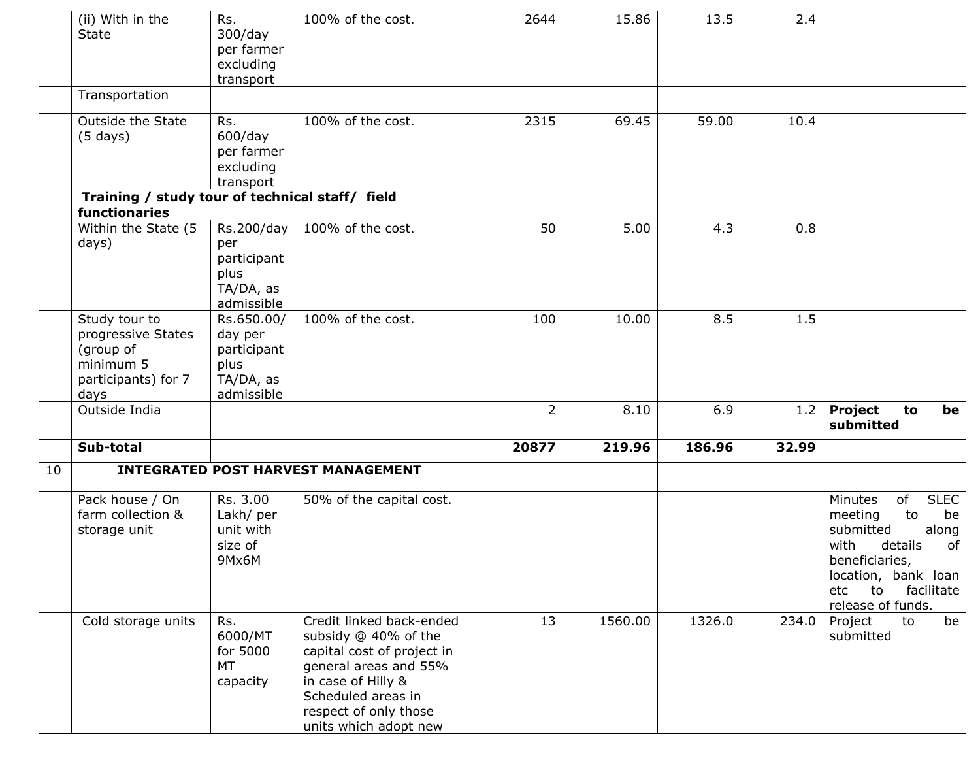|    | (ii) With in the<br><b>State</b>                                                             | Rs.<br>$300$ /day<br>per farmer<br>excluding<br>transport               | 100% of the cost.                                                                                                                                                                                     | 2644           | 15.86   | 13.5   | 2.4   |                                                                                                                                                                                             |
|----|----------------------------------------------------------------------------------------------|-------------------------------------------------------------------------|-------------------------------------------------------------------------------------------------------------------------------------------------------------------------------------------------------|----------------|---------|--------|-------|---------------------------------------------------------------------------------------------------------------------------------------------------------------------------------------------|
|    | Transportation                                                                               |                                                                         |                                                                                                                                                                                                       |                |         |        |       |                                                                                                                                                                                             |
|    | Outside the State<br>$(5 \text{ days})$                                                      | Rs.<br>$600$ /day<br>per farmer<br>excluding<br>transport               | 100% of the cost.                                                                                                                                                                                     | 2315           | 69.45   | 59.00  | 10.4  |                                                                                                                                                                                             |
|    | Training / study tour of technical staff/ field<br>functionaries                             |                                                                         |                                                                                                                                                                                                       |                |         |        |       |                                                                                                                                                                                             |
|    | Within the State (5<br>days)                                                                 | Rs.200/day<br>per<br>participant<br>plus<br>TA/DA, as<br>admissible     | 100% of the cost.                                                                                                                                                                                     | 50             | 5.00    | 4.3    | 0.8   |                                                                                                                                                                                             |
|    | Study tour to<br>progressive States<br>(group of<br>minimum 5<br>participants) for 7<br>days | Rs.650.00/<br>day per<br>participant<br>plus<br>TA/DA, as<br>admissible | 100% of the cost.                                                                                                                                                                                     | 100            | 10.00   | 8.5    | 1.5   |                                                                                                                                                                                             |
|    | Outside India                                                                                |                                                                         |                                                                                                                                                                                                       | $\overline{2}$ | 8.10    | 6.9    | 1.2   | Project<br>to<br>be<br>submitted                                                                                                                                                            |
|    | Sub-total                                                                                    |                                                                         |                                                                                                                                                                                                       | 20877          | 219.96  | 186.96 | 32.99 |                                                                                                                                                                                             |
| 10 |                                                                                              |                                                                         | <b>INTEGRATED POST HARVEST MANAGEMENT</b>                                                                                                                                                             |                |         |        |       |                                                                                                                                                                                             |
|    | Pack house / On<br>farm collection &<br>storage unit                                         | Rs. 3.00<br>Lakh/ per<br>unit with<br>size of<br>9Mx6M                  | 50% of the capital cost.                                                                                                                                                                              |                |         |        |       | of<br><b>SLEC</b><br>Minutes<br>to<br>be<br>meeting<br>submitted<br>along<br>details<br>of<br>with<br>beneficiaries,<br>location, bank loan<br>to<br>facilitate<br>etc<br>release of funds. |
|    | Cold storage units                                                                           | Rs.<br>6000/MT<br>for 5000<br>MT<br>capacity                            | Credit linked back-ended<br>subsidy @ 40% of the<br>capital cost of project in<br>general areas and 55%<br>in case of Hilly &<br>Scheduled areas in<br>respect of only those<br>units which adopt new | 13             | 1560.00 | 1326.0 | 234.0 | Project<br>be<br>to<br>submitted                                                                                                                                                            |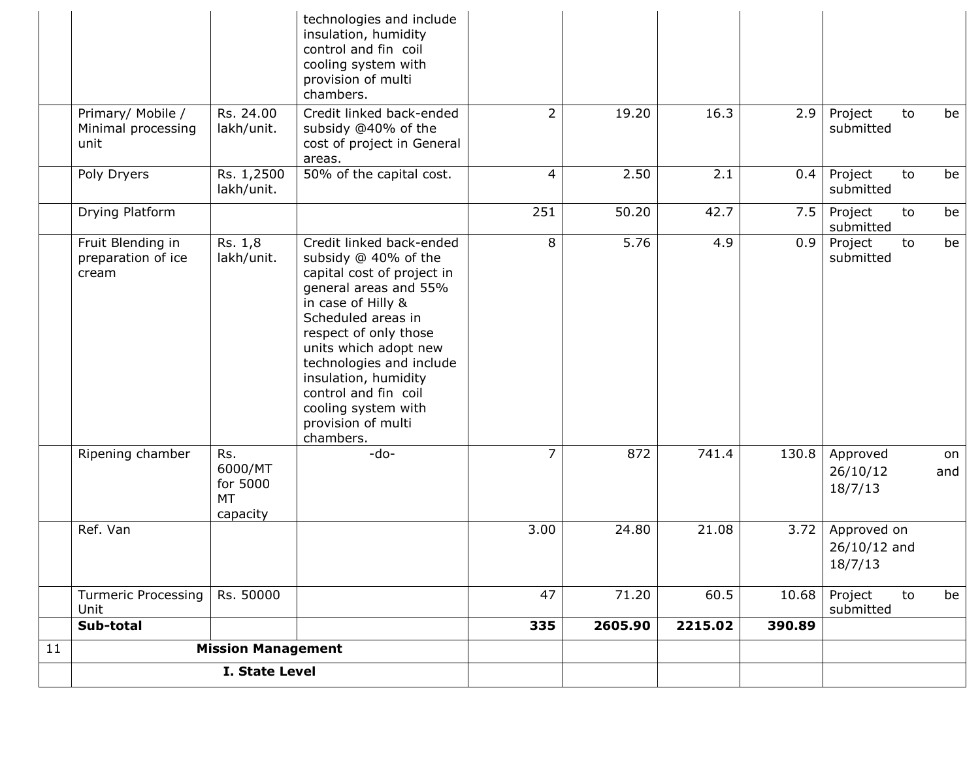|    | I. State Level                          |                                                     |                                                                                                                                                                                                                                                                                                                 |                |         |         |        |                                          |           |
|----|-----------------------------------------|-----------------------------------------------------|-----------------------------------------------------------------------------------------------------------------------------------------------------------------------------------------------------------------------------------------------------------------------------------------------------------------|----------------|---------|---------|--------|------------------------------------------|-----------|
| 11 | <b>Mission Management</b>               |                                                     |                                                                                                                                                                                                                                                                                                                 |                |         |         |        |                                          |           |
|    | Sub-total                               |                                                     |                                                                                                                                                                                                                                                                                                                 | 335            | 2605.90 | 2215.02 | 390.89 |                                          |           |
|    | <b>Turmeric Processing</b><br>Unit      | Rs. 50000                                           |                                                                                                                                                                                                                                                                                                                 | 47             | 71.20   | 60.5    | 10.68  | Project<br>to<br>submitted               | be        |
|    | Ref. Van                                |                                                     |                                                                                                                                                                                                                                                                                                                 | 3.00           | 24.80   | 21.08   | 3.72   | Approved on<br>$26/10/12$ and<br>18/7/13 |           |
|    | Ripening chamber                        | Rs.<br>6000/MT<br>for 5000<br><b>MT</b><br>capacity | $-do-$                                                                                                                                                                                                                                                                                                          | 7              | 872     | 741.4   | 130.8  | Approved<br>26/10/12<br>18/7/13          | on<br>and |
|    | preparation of ice<br>cream             | lakh/unit.                                          | subsidy @ 40% of the<br>capital cost of project in<br>general areas and 55%<br>in case of Hilly &<br>Scheduled areas in<br>respect of only those<br>units which adopt new<br>technologies and include<br>insulation, humidity<br>control and fin coil<br>cooling system with<br>provision of multi<br>chambers. |                |         |         |        | submitted                                |           |
|    | Fruit Blending in                       | Rs. 1,8                                             | Credit linked back-ended                                                                                                                                                                                                                                                                                        | 8              | 5.76    | 4.9     | 0.9    | submitted<br>Project<br>to               | be        |
|    | Drying Platform                         | lakh/unit.                                          |                                                                                                                                                                                                                                                                                                                 | 251            | 50.20   | 42.7    | 7.5    | submitted<br>Project<br>to               | be        |
|    | unit<br>Poly Dryers                     | Rs. 1,2500                                          | cost of project in General<br>areas.<br>50% of the capital cost.                                                                                                                                                                                                                                                | 4              | 2.50    | 2.1     | 0.4    | Project<br>to                            | be        |
|    | Primary/ Mobile /<br>Minimal processing | Rs. 24.00<br>lakh/unit.                             | provision of multi<br>chambers.<br>Credit linked back-ended<br>subsidy @40% of the                                                                                                                                                                                                                              | $\overline{2}$ | 19.20   | 16.3    | 2.9    | Project<br>to<br>submitted               | be        |
|    |                                         |                                                     | technologies and include<br>insulation, humidity<br>control and fin coil<br>cooling system with                                                                                                                                                                                                                 |                |         |         |        |                                          |           |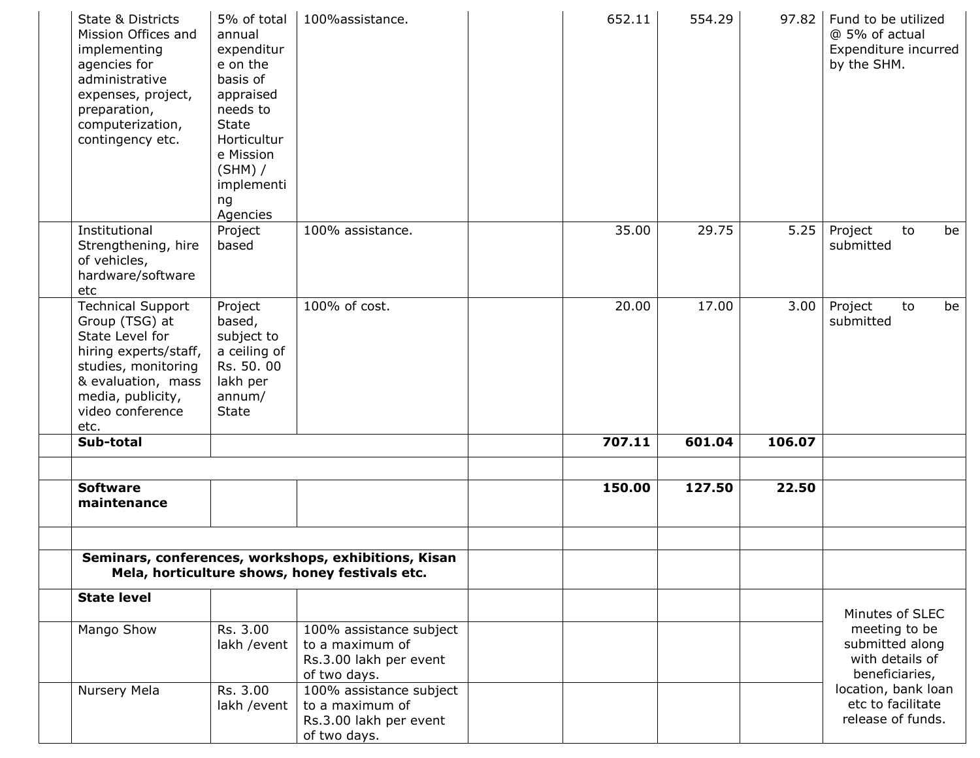| State & Districts<br>Mission Offices and<br>implementing<br>agencies for<br>administrative<br>expenses, project,<br>preparation,<br>computerization,<br>contingency etc.             | 5% of total<br>annual<br>expenditur<br>e on the<br>basis of<br>appraised<br>needs to<br><b>State</b><br>Horticultur<br>e Mission<br>$(SHM)$ /<br>implementi<br>ng<br>Agencies | 100%assistance.                                                                      |  | 652.11                                                                | 554.29 | 97.82  | Fund to be utilized<br>@ 5% of actual<br>Expenditure incurred<br>by the SHM. |  |
|--------------------------------------------------------------------------------------------------------------------------------------------------------------------------------------|-------------------------------------------------------------------------------------------------------------------------------------------------------------------------------|--------------------------------------------------------------------------------------|--|-----------------------------------------------------------------------|--------|--------|------------------------------------------------------------------------------|--|
| Institutional<br>Strengthening, hire<br>of vehicles,<br>hardware/software<br>etc                                                                                                     | Project<br>based                                                                                                                                                              | 100% assistance.                                                                     |  | 35.00                                                                 | 29.75  | 5.25   | Project<br>be<br>to<br>submitted                                             |  |
| <b>Technical Support</b><br>Group (TSG) at<br>State Level for<br>hiring experts/staff,<br>studies, monitoring<br>& evaluation, mass<br>media, publicity,<br>video conference<br>etc. | Project<br>based,<br>subject to<br>a ceiling of<br>Rs. 50. 00<br>lakh per<br>annum/<br><b>State</b>                                                                           | 100% of cost.                                                                        |  | 20.00                                                                 | 17.00  | 3.00   | Project<br>to<br>be<br>submitted                                             |  |
| Sub-total                                                                                                                                                                            |                                                                                                                                                                               |                                                                                      |  | 707.11                                                                | 601.04 | 106.07 |                                                                              |  |
| <b>Software</b><br>maintenance                                                                                                                                                       |                                                                                                                                                                               |                                                                                      |  | 150.00                                                                | 127.50 | 22.50  |                                                                              |  |
| Seminars, conferences, workshops, exhibitions, Kisan                                                                                                                                 |                                                                                                                                                                               |                                                                                      |  |                                                                       |        |        |                                                                              |  |
|                                                                                                                                                                                      |                                                                                                                                                                               | Mela, horticulture shows, honey festivals etc.                                       |  |                                                                       |        |        |                                                                              |  |
| <b>State level</b>                                                                                                                                                                   |                                                                                                                                                                               |                                                                                      |  |                                                                       |        |        | Minutes of SLEC                                                              |  |
| Mango Show                                                                                                                                                                           | Rs. 3.00<br>lakh / event                                                                                                                                                      | 100% assistance subject<br>to a maximum of<br>Rs.3.00 lakh per event<br>of two days. |  | meeting to be<br>submitted along<br>with details of<br>beneficiaries, |        |        |                                                                              |  |
| Nursery Mela                                                                                                                                                                         | Rs. 3.00<br>lakh / event                                                                                                                                                      | 100% assistance subject<br>to a maximum of<br>Rs.3.00 lakh per event<br>of two days. |  |                                                                       |        |        | location, bank loan<br>etc to facilitate<br>release of funds.                |  |